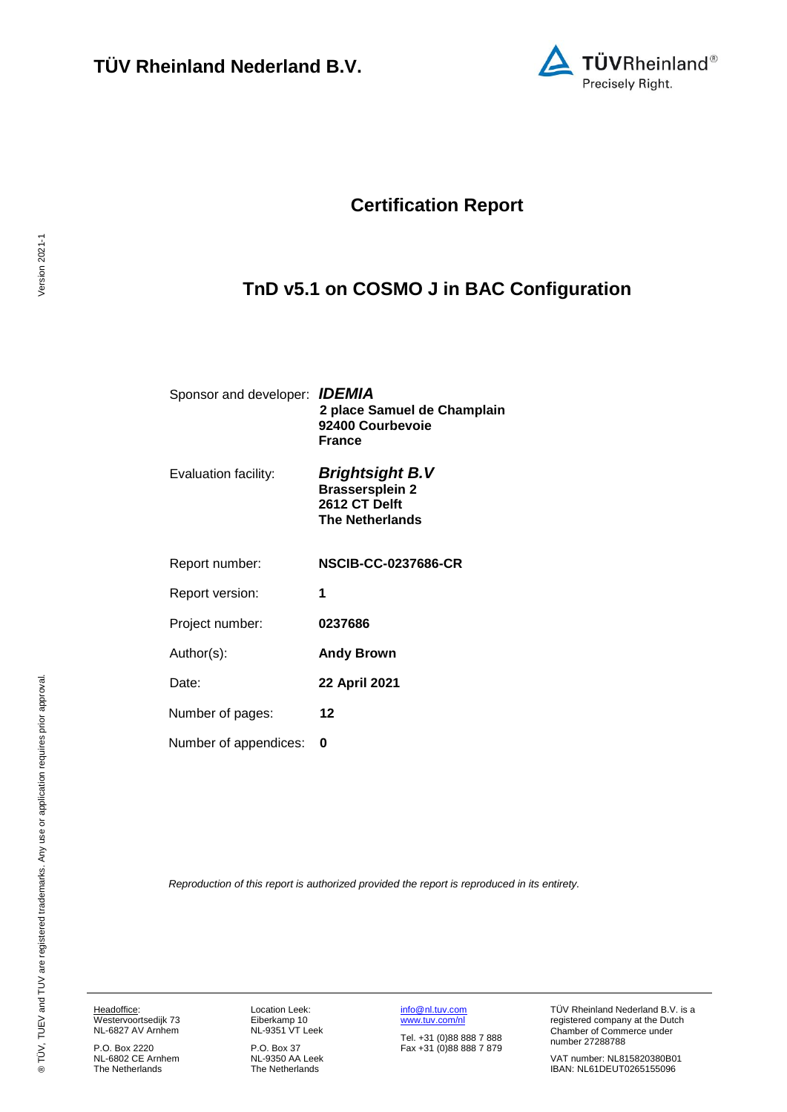

# **Certification Report**

# <span id="page-0-3"></span><span id="page-0-2"></span>**TnD v5.1 on COSMO J in BAC Configuration**

<span id="page-0-0"></span>

| Sponsor and developer: <b>IDEMIA</b> | 2 place Samuel de Champlain<br>92400 Courbevoie<br><b>France</b>                            |
|--------------------------------------|---------------------------------------------------------------------------------------------|
| Evaluation facility:                 | <b>Brightsight B.V</b><br><b>Brassersplein 2</b><br>2612 CT Delft<br><b>The Netherlands</b> |
| Report number:                       | <b>NSCIB-CC-0237686-CR</b>                                                                  |
| Report version:                      | 1                                                                                           |
| Project number:                      | 0237686                                                                                     |
| Author(s):                           | <b>Andy Brown</b>                                                                           |
| Date:                                | 22 April 2021                                                                               |
| Number of pages:                     | 12                                                                                          |
| Number of appendices:                | O                                                                                           |
|                                      |                                                                                             |

<span id="page-0-1"></span>*Reproduction of this report is authorized provided the report is reproduced in its entirety.*

Headoffice: Westervoortsedijk 73 NL-6827 AV Arnhem

P.O. Box 2220 NL-6802 CE Arnhem The Netherlands Location Leek: Eiberkamp 10 NL-9351 VT Leek

P.O. Box 37 NL-9350 AA Leek The Netherlands [info@nl.tuv.com](mailto:info@nl.tuv.com) [www.tuv.com/nl](http://www.tuv.com/nl)

Tel. +31 (0)88 888 7 888 Fax +31 (0)88 888 7 879 TÜV Rheinland Nederland B.V. is a registered company at the Dutch Chamber of Commerce under number 27288788

VAT number: NL815820380B01 IBAN: NL61DEUT0265155096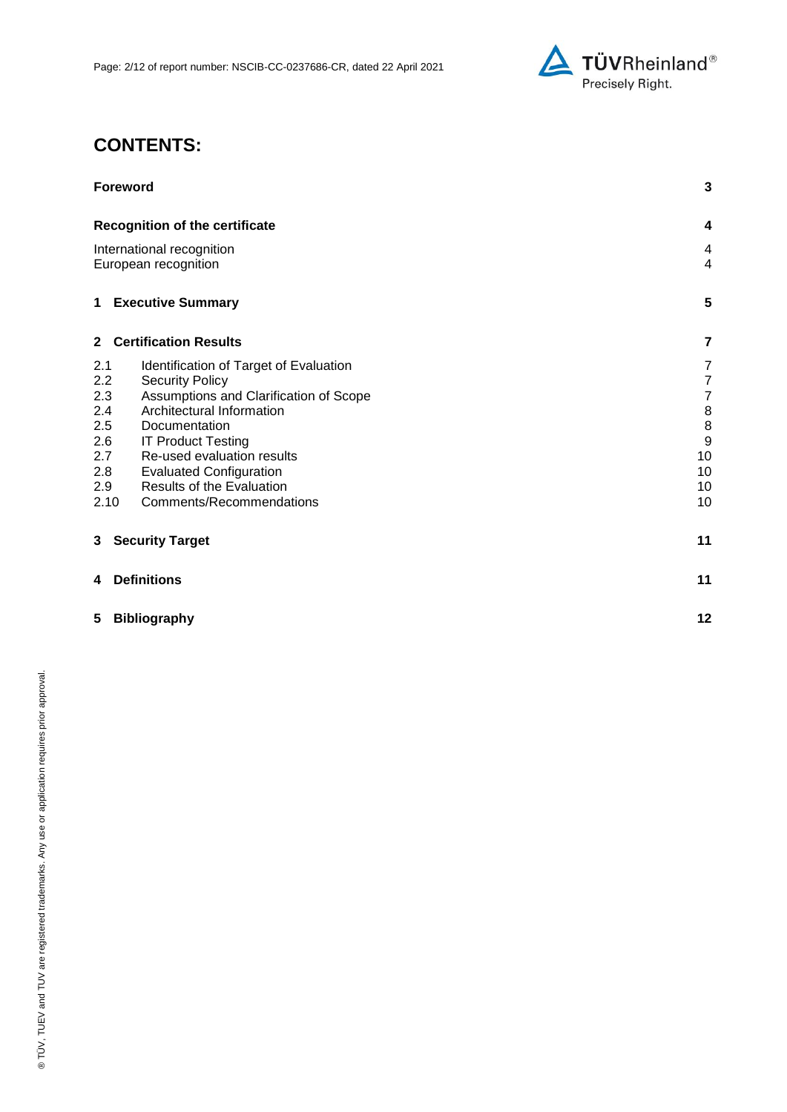

# **CONTENTS:**

| <b>Foreword</b>                                   |                                  |
|---------------------------------------------------|----------------------------------|
| <b>Recognition of the certificate</b>             | 4                                |
| International recognition<br>European recognition | $\overline{4}$<br>$\overline{4}$ |
| <b>1 Executive Summary</b>                        | 5                                |
| 2 Certification Results                           | 7                                |
| 2.1<br>Identification of Target of Evaluation     | 7                                |
| 2.2<br><b>Security Policy</b>                     | $\overline{7}$                   |
| 2.3<br>Assumptions and Clarification of Scope     | $\overline{7}$                   |
| 2.4<br>Architectural Information                  | 8                                |
| 2.5<br>Documentation                              | 8                                |
| 2.6<br><b>IT Product Testing</b>                  | 9                                |
| Re-used evaluation results<br>2.7                 | 10                               |
| 2.8<br><b>Evaluated Configuration</b>             | 10                               |
| Results of the Evaluation<br>2.9                  | 10                               |
| Comments/Recommendations<br>2.10                  | 10                               |
| <b>Security Target</b><br>3                       | 11                               |
| <b>Definitions</b><br>4                           | 11                               |
| 5<br><b>Bibliography</b>                          | 12                               |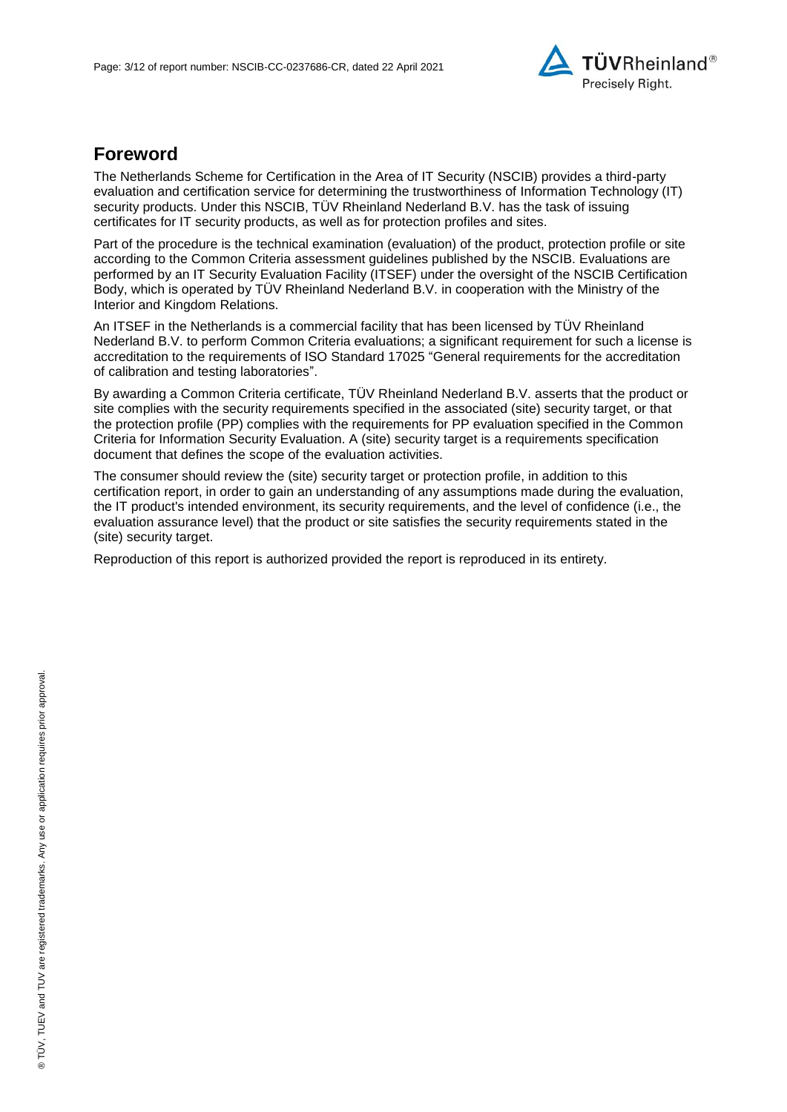

## **Foreword**

The Netherlands Scheme for Certification in the Area of IT Security (NSCIB) provides a third-party evaluation and certification service for determining the trustworthiness of Information Technology (IT) security products. Under this NSCIB, TUV Rheinland Nederland B.V. has the task of issuing certificates for IT security products, as well as for protection profiles and sites.

Part of the procedure is the technical examination (evaluation) of the product, protection profile or site according to the Common Criteria assessment guidelines published by the NSCIB. Evaluations are performed by an IT Security Evaluation Facility (ITSEF) under the oversight of the NSCIB Certification Body, which is operated by TÜV Rheinland Nederland B.V. in cooperation with the Ministry of the Interior and Kingdom Relations.

An ITSEF in the Netherlands is a commercial facility that has been licensed by TÜV Rheinland Nederland B.V. to perform Common Criteria evaluations; a significant requirement for such a license is accreditation to the requirements of ISO Standard 17025 "General requirements for the accreditation of calibration and testing laboratories".

By awarding a Common Criteria certificate, TÜV Rheinland Nederland B.V. asserts that the product or site complies with the security requirements specified in the associated (site) security target, or that the protection profile (PP) complies with the requirements for PP evaluation specified in the Common Criteria for Information Security Evaluation. A (site) security target is a requirements specification document that defines the scope of the evaluation activities.

The consumer should review the (site) security target or protection profile, in addition to this certification report, in order to gain an understanding of any assumptions made during the evaluation, the IT product's intended environment, its security requirements, and the level of confidence (i.e., the evaluation assurance level) that the product or site satisfies the security requirements stated in the (site) security target.

Reproduction of this report is authorized provided the report is reproduced in its entirety.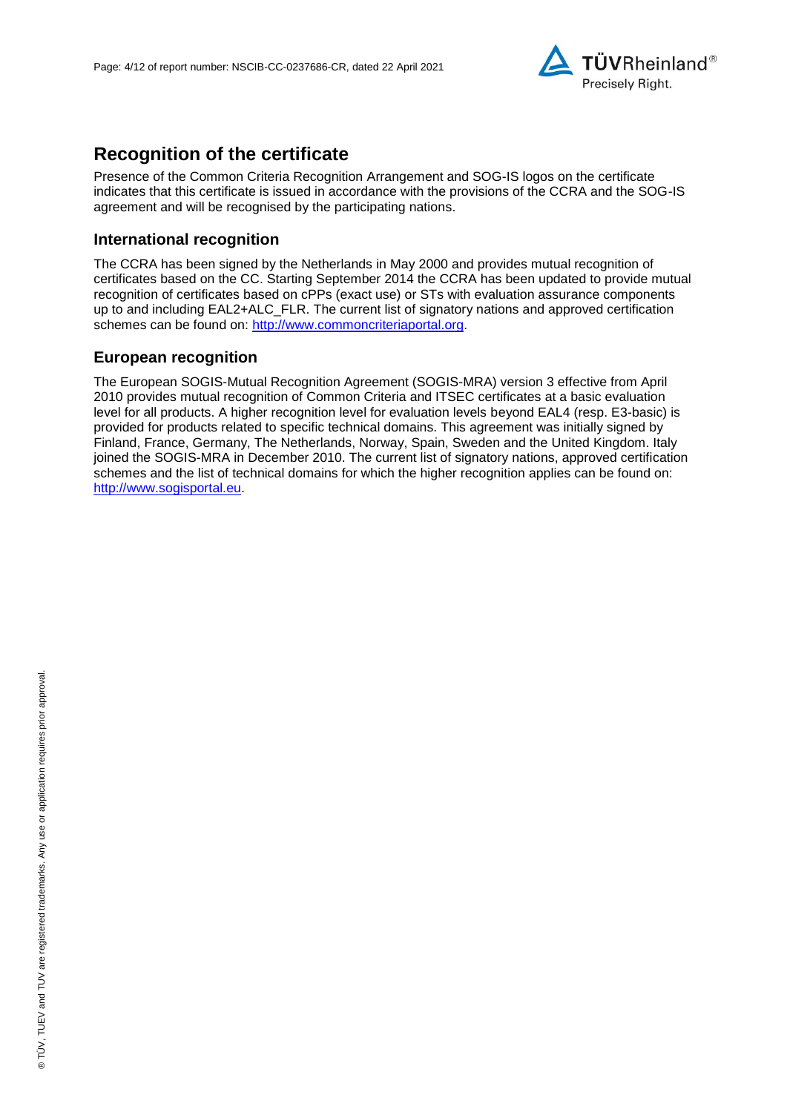

## **Recognition of the certificate**

Presence of the Common Criteria Recognition Arrangement and SOG-IS logos on the certificate indicates that this certificate is issued in accordance with the provisions of the CCRA and the SOG-IS agreement and will be recognised by the participating nations.

### **International recognition**

The CCRA has been signed by the Netherlands in May 2000 and provides mutual recognition of certificates based on the CC. Starting September 2014 the CCRA has been updated to provide mutual recognition of certificates based on cPPs (exact use) or STs with evaluation assurance components up to and including EAL2+ALC\_FLR. The current list of signatory nations and approved certification schemes can be found on: [http://www.commoncriteriaportal.org.](http://www.commoncriteriaportal.org/)

## **European recognition**

The European SOGIS-Mutual Recognition Agreement (SOGIS-MRA) version 3 effective from April 2010 provides mutual recognition of Common Criteria and ITSEC certificates at a basic evaluation level for all products. A higher recognition level for evaluation levels beyond EAL4 (resp. E3-basic) is provided for products related to specific technical domains. This agreement was initially signed by Finland, France, Germany, The Netherlands, Norway, Spain, Sweden and the United Kingdom. Italy joined the SOGIS-MRA in December 2010. The current list of signatory nations, approved certification schemes and the list of technical domains for which the higher recognition applies can be found on: [http://www.sogisportal.eu.](http://www.sogisportal.eu/)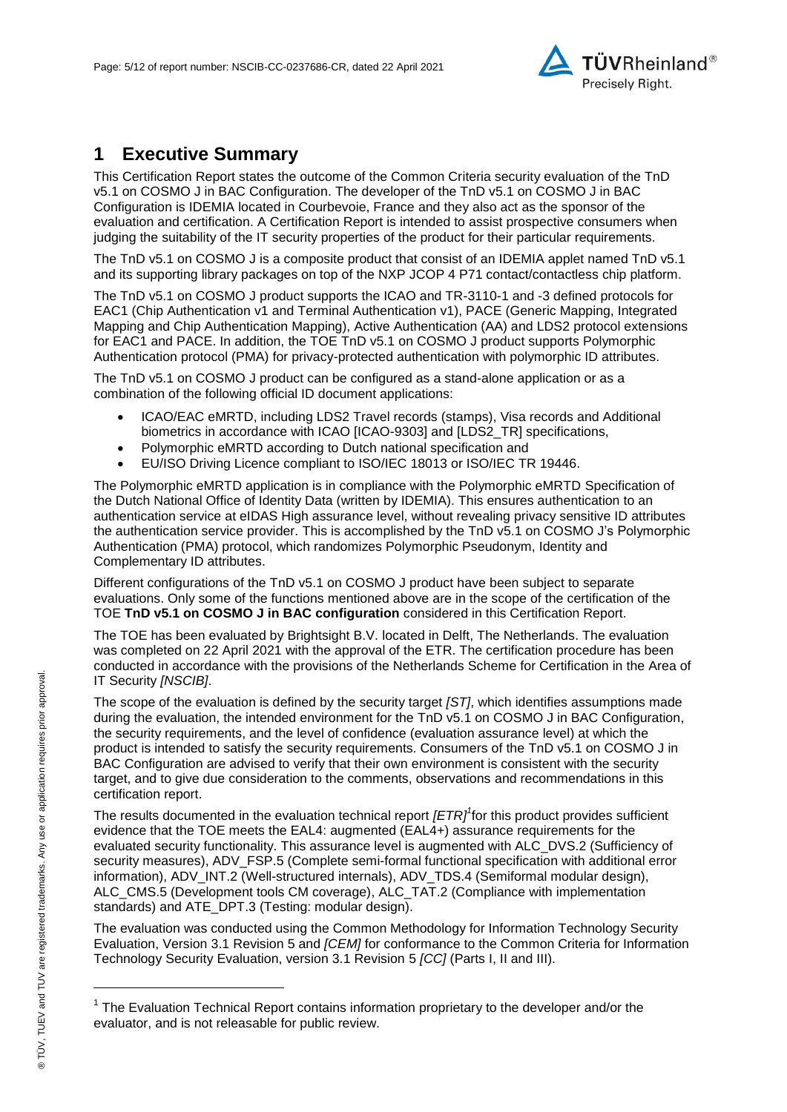

## **1 Executive Summary**

<span id="page-4-2"></span>This Certification Report states the outcome of the Common Criteria security evaluation of the [TnD](#page-0-2)  [v5.1 on COSMO J in BAC Configuration.](#page-0-2) The developer of the [TnD v5.1 on COSMO J in BAC](#page-0-2)  [Configuration](#page-0-2) is [IDEMIA](#page-0-3) located in Courbevoie, France and they also act as the sponsor of the evaluation and certification. A Certification Report is intended to assist prospective consumers when judging the suitability of the IT security properties of the product for their particular requirements.

The TnD v5.1 on COSMO J is a composite product that consist of an IDEMIA applet named TnD v5.1 and its supporting library packages on top of the NXP JCOP 4 P71 contact/contactless chip platform.

The TnD v5.1 on COSMO J product supports the ICAO and TR-3110-1 and -3 defined protocols for EAC1 (Chip Authentication v1 and Terminal Authentication v1), PACE (Generic Mapping, Integrated Mapping and Chip Authentication Mapping), Active Authentication (AA) and LDS2 protocol extensions for EAC1 and PACE. In addition, the TOE TnD v5.1 on COSMO J product supports Polymorphic Authentication protocol (PMA) for privacy-protected authentication with polymorphic ID attributes.

The TnD v5.1 on COSMO J product can be configured as a stand-alone application or as a combination of the following official ID document applications:

- ICAO/EAC eMRTD, including LDS2 Travel records (stamps), Visa records and Additional biometrics in accordance with ICAO [ICAO-9303] and [LDS2\_TR] specifications,
- Polymorphic eMRTD according to Dutch national specification and
- EU/ISO Driving Licence compliant to ISO/IEC 18013 or ISO/IEC TR 19446.

The Polymorphic eMRTD application is in compliance with the Polymorphic eMRTD Specification of the Dutch National Office of Identity Data (written by IDEMIA). This ensures authentication to an authentication service at eIDAS High assurance level, without revealing privacy sensitive ID attributes the authentication service provider. This is accomplished by the TnD v5.1 on COSMO J's Polymorphic Authentication (PMA) protocol, which randomizes Polymorphic Pseudonym, Identity and Complementary ID attributes.

Different configurations of the TnD v5.1 on COSMO J product have been subject to separate evaluations. Only some of the functions mentioned above are in the scope of the certification of the TOE **TnD v5.1 on COSMO J in BAC configuration** considered in this Certification Report.

The TOE has been evaluated by Brightsight B.V. located in Delft, The Netherlands. The evaluation was completed on 22 April 2021 with the approval of the ETR. The certification procedure has been conducted in accordance with the provisions of the Netherlands Scheme for Certification in the Area of IT Security *[NSCIB]*.

The scope of the evaluation is defined by the security target *[ST]*, which identifies assumptions made during the evaluation, the intended environment for the [TnD v5.1 on COSMO J in BAC Configuration,](#page-0-2) the security requirements, and the level of confidence (evaluation assurance level) at which the product is intended to satisfy the security requirements. Consumers of the [TnD v5.1 on COSMO J in](#page-0-2)  [BAC Configuration](#page-0-2) are advised to verify that their own environment is consistent with the security target, and to give due consideration to the comments, observations and recommendations in this certification report.

<span id="page-4-0"></span>The results documented in the evaluation technical report *[ETR]<sup>1</sup>* for this product provides sufficient evidence that the TOE meets the EAL4: augmented (EA[L4+](#page-4-0)) assurance requirements for the evaluated security functionality. This assurance level is augmented with ALC\_DVS.2 (Sufficiency of security measures), ADV\_FSP.5 (Complete semi-formal functional specification with additional error information), ADV\_INT.2 (Well-structured internals), ADV\_TDS.4 (Semiformal modular design), ALC\_CMS.5 (Development tools CM coverage), ALC\_TAT.2 (Compliance with implementation standards) and ATE\_DPT.3 (Testing: modular design).

<span id="page-4-1"></span>The evaluation was conducted using the Common Methodology for Information Technology Security Evaluation, Version 3.1 Revision 5 and *[CEM]* for conformance to the Common Criteria for Information Technology Security Evaluation, version 3.1 Revision [5](#page-4-1) *[CC]* (Parts I, II and III).

l

<sup>&</sup>lt;sup>1</sup> The Evaluation Technical Report contains information proprietary to the developer and/or the evaluator, and is not releasable for public review.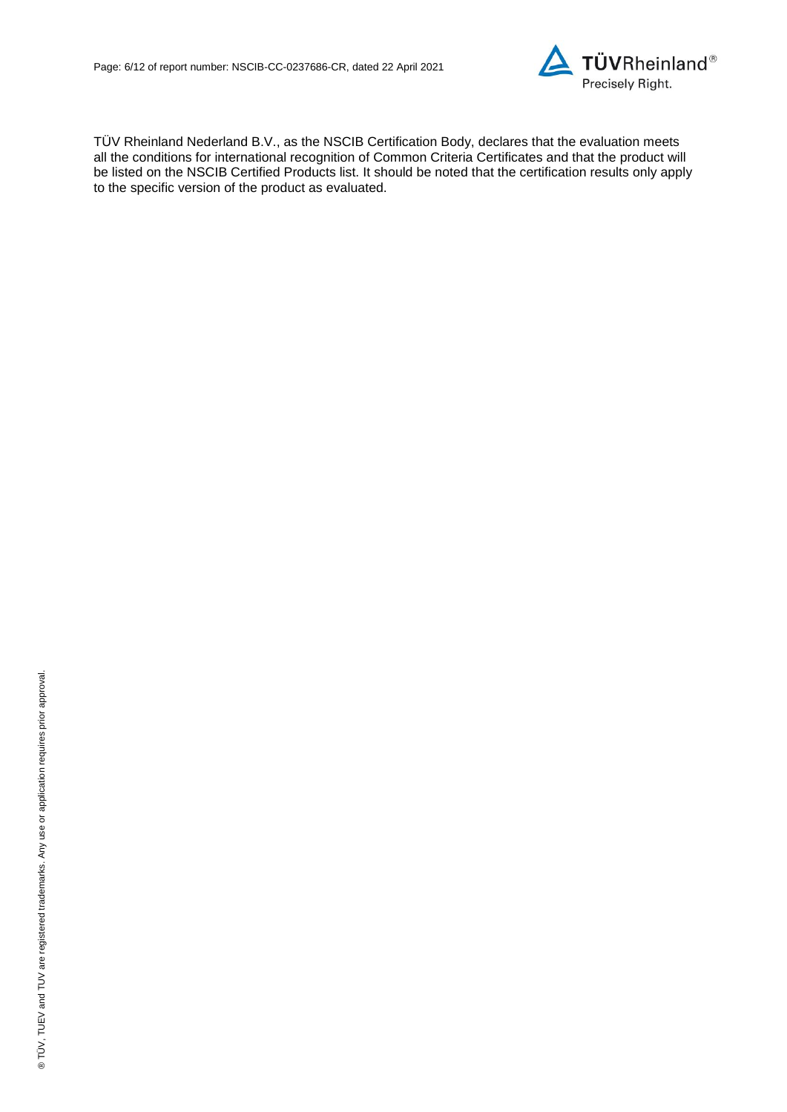

TÜV Rheinland Nederland B.V., as the NSCIB Certification Body, declares that the evaluation meets all the conditions for international recognition of Common Criteria Certificates and that the product will be listed on the NSCIB Certified Products list. It should be noted that the certification results only apply to the specific version of the product as evaluated.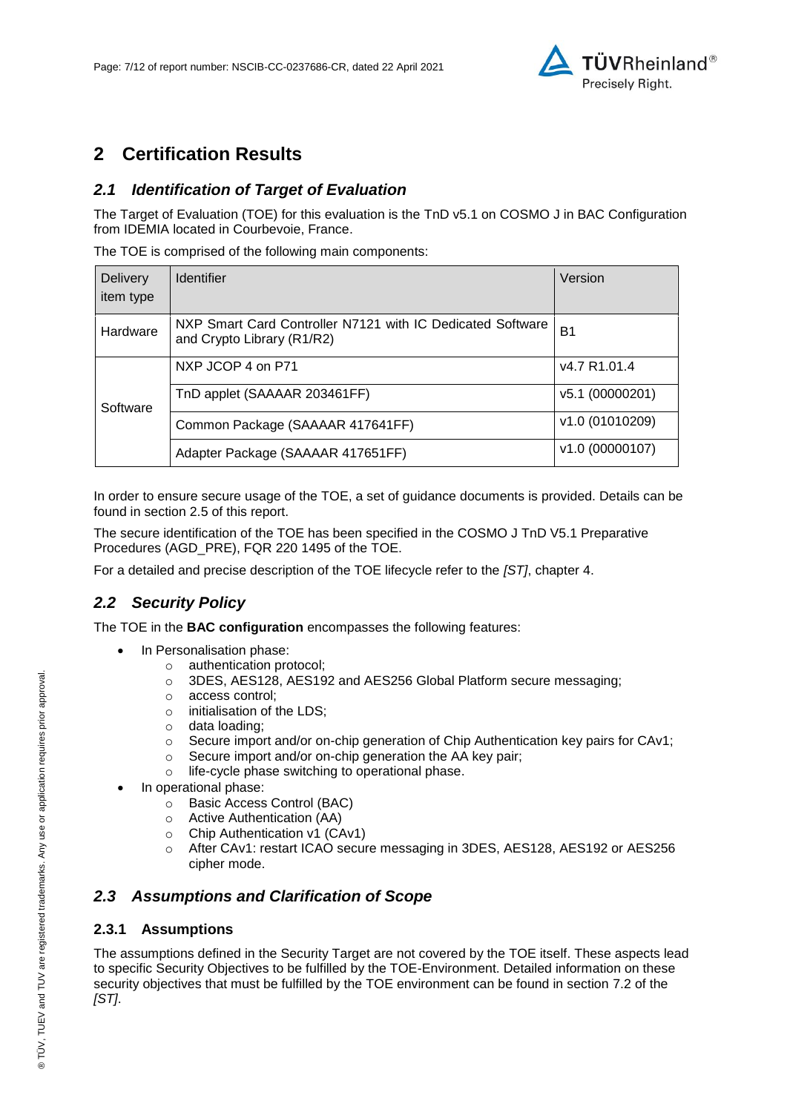

## **2 Certification Results**

## *2.1 Identification of Target of Evaluation*

The Target of Evaluation (TOE) for this evaluation is the [TnD v5.1 on COSMO J in BAC Configuration](#page-0-2) from [IDEMIA](#page-0-3) located in [Courbevoie, France.](#page-4-2)

The TOE is comprised of the following main components:

| <b>Delivery</b><br>item type | <b>Identifier</b>                                                                        | Version         |
|------------------------------|------------------------------------------------------------------------------------------|-----------------|
| Hardware                     | NXP Smart Card Controller N7121 with IC Dedicated Software<br>and Crypto Library (R1/R2) | B <sub>1</sub>  |
| Software                     | NXP JCOP 4 on P71                                                                        | v4.7 R1.01.4    |
|                              | TnD applet (SAAAAR 203461FF)                                                             | v5.1 (00000201) |
|                              | Common Package (SAAAAR 417641FF)                                                         | v1.0 (01010209) |
|                              | Adapter Package (SAAAAR 417651FF)                                                        | v1.0 (00000107) |

In order to ensure secure usage of the TOE, a set of guidance documents is provided. Details can be found in section 2.5 of this report.

The secure identification of the TOE has been specified in the COSMO J TnD V5.1 Preparative Procedures (AGD\_PRE), FQR 220 1495 of the TOE.

For a detailed and precise description of the TOE lifecycle refer to the *[ST]*, chapter 4.

## *2.2 Security Policy*

The TOE in the **BAC configuration** encompasses the following features:

- In Personalisation phase:
	- o authentication protocol;
	- o 3DES, AES128, AES192 and AES256 Global Platform secure messaging;
	- o access control;
	- o initialisation of the LDS;
	- o data loading;
	- $\circ$  Secure import and/or on-chip generation of Chip Authentication key pairs for CAv1;
	- o Secure import and/or on-chip generation the AA key pair;
	- o life-cycle phase switching to operational phase.
- In operational phase:
	- o Basic Access Control (BAC)
	- o Active Authentication (AA)
	- o Chip Authentication v1 (CAv1)
	- o After CAv1: restart ICAO secure messaging in 3DES, AES128, AES192 or AES256 cipher mode.

### *2.3 Assumptions and Clarification of Scope*

#### **2.3.1 Assumptions**

The assumptions defined in the Security Target are not covered by the TOE itself. These aspects lead to specific Security Objectives to be fulfilled by the TOE-Environment. Detailed information on these security objectives that must be fulfilled by the TOE environment can be found in section 7.2 of the *[ST]*.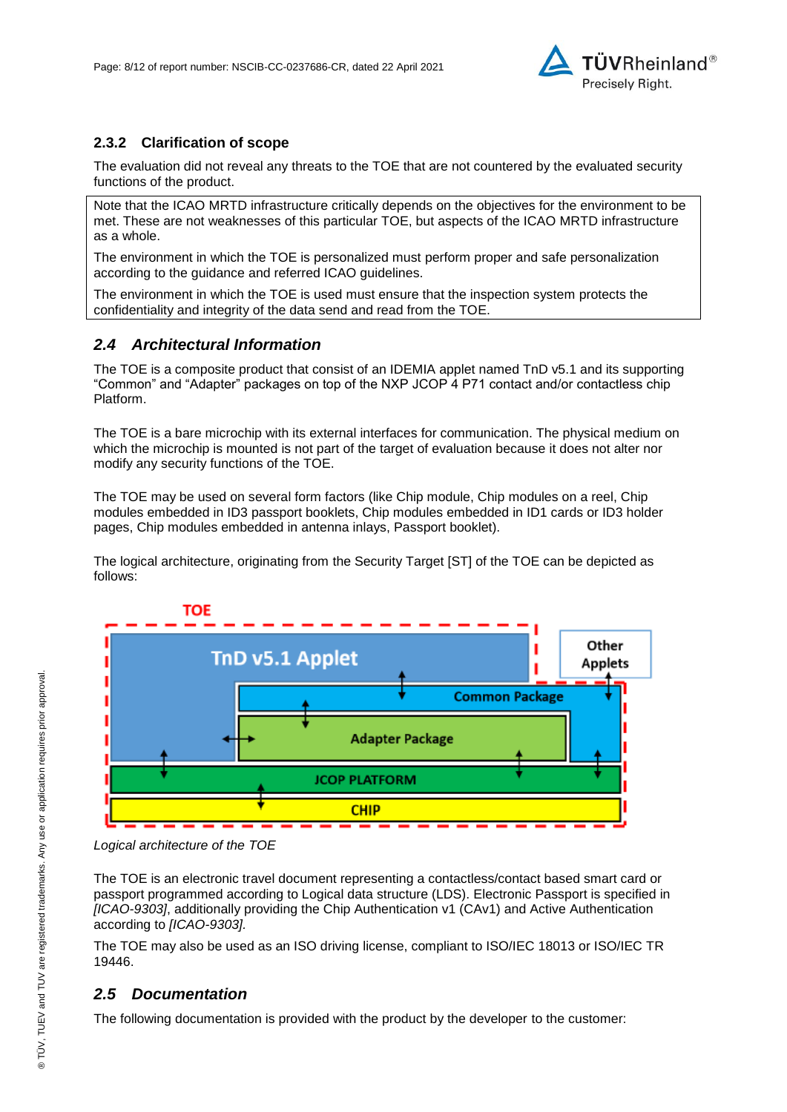

## **2.3.2 Clarification of scope**

The evaluation did not reveal any threats to the TOE that are not countered by the evaluated security functions of the product.

Note that the ICAO MRTD infrastructure critically depends on the objectives for the environment to be met. These are not weaknesses of this particular TOE, but aspects of the ICAO MRTD infrastructure as a whole.

The environment in which the TOE is personalized must perform proper and safe personalization according to the guidance and referred ICAO guidelines.

The environment in which the TOE is used must ensure that the inspection system protects the confidentiality and integrity of the data send and read from the TOE.

## *2.4 Architectural Information*

The TOE is a composite product that consist of an IDEMIA applet named TnD v5.1 and its supporting "Common" and "Adapter" packages on top of the NXP JCOP 4 P71 contact and/or contactless chip Platform.

The TOE is a bare microchip with its external interfaces for communication. The physical medium on which the microchip is mounted is not part of the target of evaluation because it does not alter nor modify any security functions of the TOE.

The TOE may be used on several form factors (like Chip module, Chip modules on a reel, Chip modules embedded in ID3 passport booklets, Chip modules embedded in ID1 cards or ID3 holder pages, Chip modules embedded in antenna inlays, Passport booklet).

The logical architecture, originating from the Security Target [ST] of the TOE can be depicted as follows:



*Logical architecture of the TOE* 

The TOE is an electronic travel document representing a contactless/contact based smart card or passport programmed according to Logical data structure (LDS). Electronic Passport is specified in *[ICAO-9303]*, additionally providing the Chip Authentication v1 (CAv1) and Active Authentication according to *[ICAO-9303].*

The TOE may also be used as an ISO driving license, compliant to ISO/IEC 18013 or ISO/IEC TR 19446.

## *2.5 Documentation*

The following documentation is provided with the product by the developer to the customer: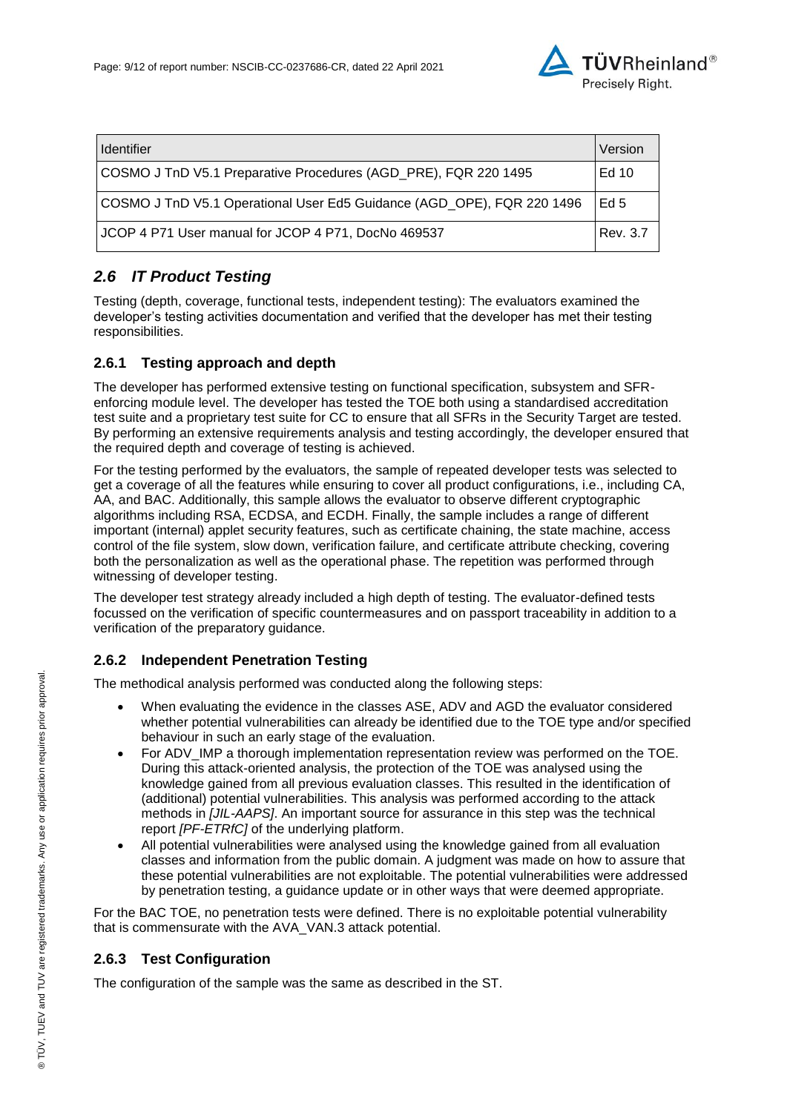

| <b>Identifier</b>                                                      | Version  |
|------------------------------------------------------------------------|----------|
| COSMO J TnD V5.1 Preparative Procedures (AGD_PRE), FQR 220 1495        | Ed 10    |
| COSMO J TnD V5.1 Operational User Ed5 Guidance (AGD OPE), FQR 220 1496 | Ed 5     |
| JCOP 4 P71 User manual for JCOP 4 P71, DocNo 469537                    | Rev. 3.7 |

## *2.6 IT Product Testing*

Testing (depth, coverage, functional tests, independent testing): The evaluators examined the developer's testing activities documentation and verified that the developer has met their testing responsibilities.

#### **2.6.1 Testing approach and depth**

The developer has performed extensive testing on functional specification, subsystem and SFRenforcing module level. The developer has tested the TOE both using a standardised accreditation test suite and a proprietary test suite for CC to ensure that all SFRs in the Security Target are tested. By performing an extensive requirements analysis and testing accordingly, the developer ensured that the required depth and coverage of testing is achieved.

For the testing performed by the evaluators, the sample of repeated developer tests was selected to get a coverage of all the features while ensuring to cover all product configurations, i.e., including CA, AA, and BAC. Additionally, this sample allows the evaluator to observe different cryptographic algorithms including RSA, ECDSA, and ECDH. Finally, the sample includes a range of different important (internal) applet security features, such as certificate chaining, the state machine, access control of the file system, slow down, verification failure, and certificate attribute checking, covering both the personalization as well as the operational phase. The repetition was performed through witnessing of developer testing.

The developer test strategy already included a high depth of testing. The evaluator-defined tests focussed on the verification of specific countermeasures and on passport traceability in addition to a verification of the preparatory guidance.

### **2.6.2 Independent Penetration Testing**

The methodical analysis performed was conducted along the following steps:

- When evaluating the evidence in the classes ASE, ADV and AGD the evaluator considered whether potential vulnerabilities can already be identified due to the TOE type and/or specified behaviour in such an early stage of the evaluation.
- For ADV IMP a thorough implementation representation review was performed on the TOE. During this attack-oriented analysis, the protection of the TOE was analysed using the knowledge gained from all previous evaluation classes. This resulted in the identification of (additional) potential vulnerabilities. This analysis was performed according to the attack methods in *[JIL-AAPS]*. An important source for assurance in this step was the technical report *[PF-ETRfC]* of the underlying platform.
- All potential vulnerabilities were analysed using the knowledge gained from all evaluation classes and information from the public domain. A judgment was made on how to assure that these potential vulnerabilities are not exploitable. The potential vulnerabilities were addressed by penetration testing, a guidance update or in other ways that were deemed appropriate.

For the BAC TOE, no penetration tests were defined. There is no exploitable potential vulnerability that is commensurate with the AVA\_VAN.3 attack potential.

### **2.6.3 Test Configuration**

The configuration of the sample was the same as described in the ST.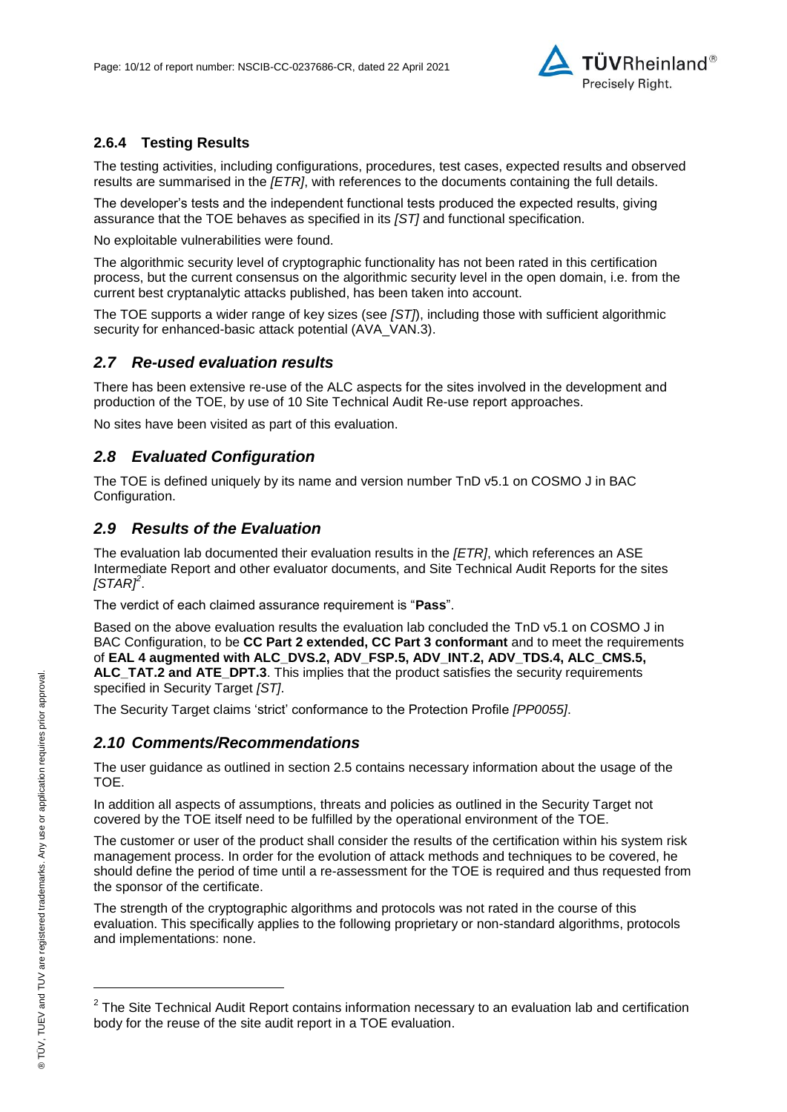

#### **2.6.4 Testing Results**

The testing activities, including configurations, procedures, test cases, expected results and observed results are summarised in the *[ETR]*, with references to the documents containing the full details.

The developer's tests and the independent functional tests produced the expected results, giving assurance that the TOE behaves as specified in its *[ST]* and functional specification.

No exploitable vulnerabilities were found.

The algorithmic security level of cryptographic functionality has not been rated in this certification process, but the current consensus on the algorithmic security level in the open domain, i.e. from the current best cryptanalytic attacks published, has been taken into account.

The TOE supports a wider range of key sizes (see *[ST]*), including those with sufficient algorithmic security for enhanced-basic attack potential (AVA\_VAN.3).

#### *2.7 Re-used evaluation results*

There has been extensive re-use of the ALC aspects for the sites involved in the development and production of the TOE, by use of 10 Site Technical Audit Re-use report approaches.

No sites have been visited as part of this evaluation.

#### *2.8 Evaluated Configuration*

The TOE is defined uniquely by its name and version number [TnD v5.1 on COSMO J in BAC](#page-0-2)  [Configuration.](#page-0-2)

#### *2.9 Results of the Evaluation*

The evaluation lab documented their evaluation results in the *[ETR]*, which references an ASE Intermediate Report and other evaluator documents, and Site Technical Audit Reports for the sites *[STAR]<sup>2</sup>* .

The verdict of each claimed assurance requirement is "**Pass**".

Based on the above evaluation results the evaluation lab concluded the [TnD v5.1 on COSMO J in](#page-0-2)  [BAC Configuration,](#page-0-2) to be **CC Part 2 extended, CC Part 3 conformant** and to meet the requirements of **EAL [4](#page-4-0) augmented with ALC\_DVS.2, ADV\_FSP.5, ADV\_INT.2, ADV\_TDS.4, ALC\_CMS.5,**  ALC TAT.2 and ATE DPT.3. This implies that the product satisfies the security requirements specified in Security Target *[ST]*.

The Security Target claims 'strict' conformance to the Protection Profile *[PP0055]*.

#### *2.10 Comments/Recommendations*

The user guidance as outlined in section 2.5 contains necessary information about the usage of the TOE.

In addition all aspects of assumptions, threats and policies as outlined in the Security Target not covered by the TOE itself need to be fulfilled by the operational environment of the TOE.

The customer or user of the product shall consider the results of the certification within his system risk management process. In order for the evolution of attack methods and techniques to be covered, he should define the period of time until a re-assessment for the TOE is required and thus requested from the sponsor of the certificate.

The strength of the cryptographic algorithms and protocols was not rated in the course of this evaluation. This specifically applies to the following proprietary or non-standard algorithms, protocols and implementations: none.

l

 $2$  The Site Technical Audit Report contains information necessary to an evaluation lab and certification body for the reuse of the site audit report in a TOE evaluation.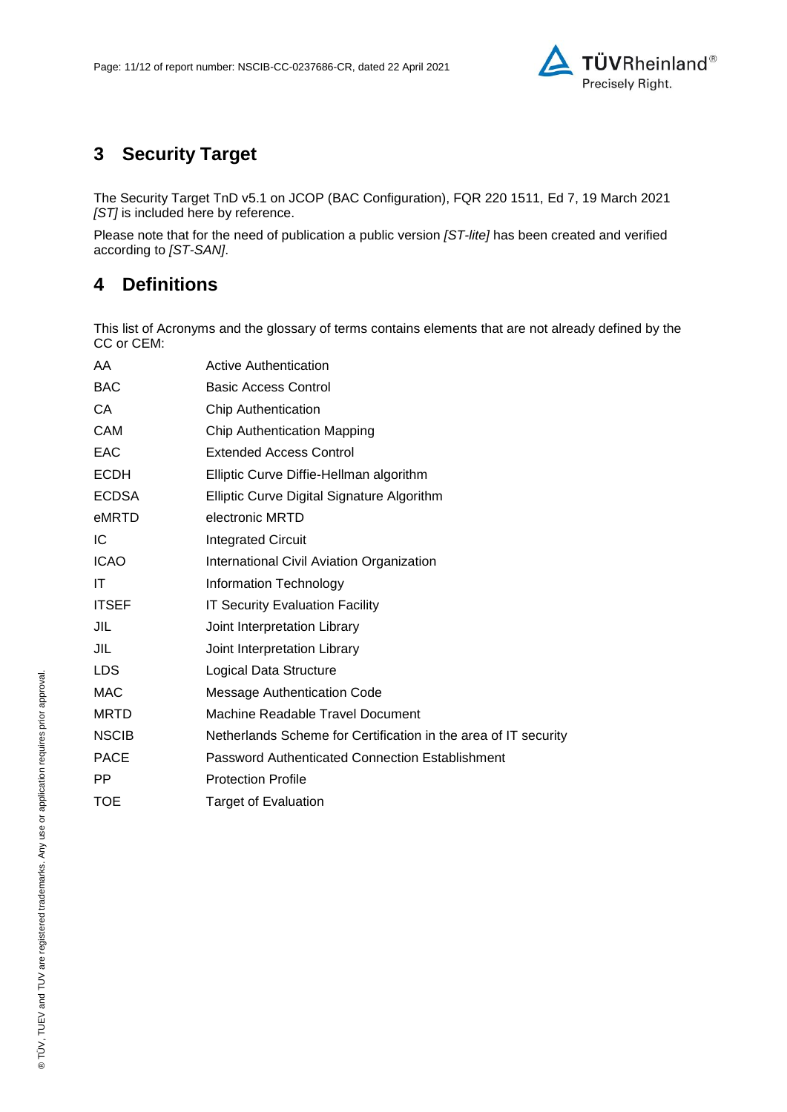

# **3 Security Target**

The Security Target TnD v5.1 on JCOP [\(BAC Configuration\), FQR 220 1511,](#page-11-0) Ed 7, 19 March 2021 *[ST]* is included here by reference.

Please note that for the need of publication a public version *[ST-lite]* has been created and verified according to *[ST-SAN]*.

## **4 Definitions**

This list of Acronyms and the glossary of terms contains elements that are not already defined by the CC or CEM:

| <b>Active Authentication</b>                                    |
|-----------------------------------------------------------------|
| <b>Basic Access Control</b>                                     |
| <b>Chip Authentication</b>                                      |
| Chip Authentication Mapping                                     |
| <b>Extended Access Control</b>                                  |
| Elliptic Curve Diffie-Hellman algorithm                         |
| Elliptic Curve Digital Signature Algorithm                      |
| electronic MRTD                                                 |
| <b>Integrated Circuit</b>                                       |
| International Civil Aviation Organization                       |
| Information Technology                                          |
| <b>IT Security Evaluation Facility</b>                          |
| Joint Interpretation Library                                    |
| Joint Interpretation Library                                    |
| Logical Data Structure                                          |
| Message Authentication Code                                     |
| Machine Readable Travel Document                                |
| Netherlands Scheme for Certification in the area of IT security |
| Password Authenticated Connection Establishment                 |
| <b>Protection Profile</b>                                       |
| <b>Target of Evaluation</b>                                     |
|                                                                 |